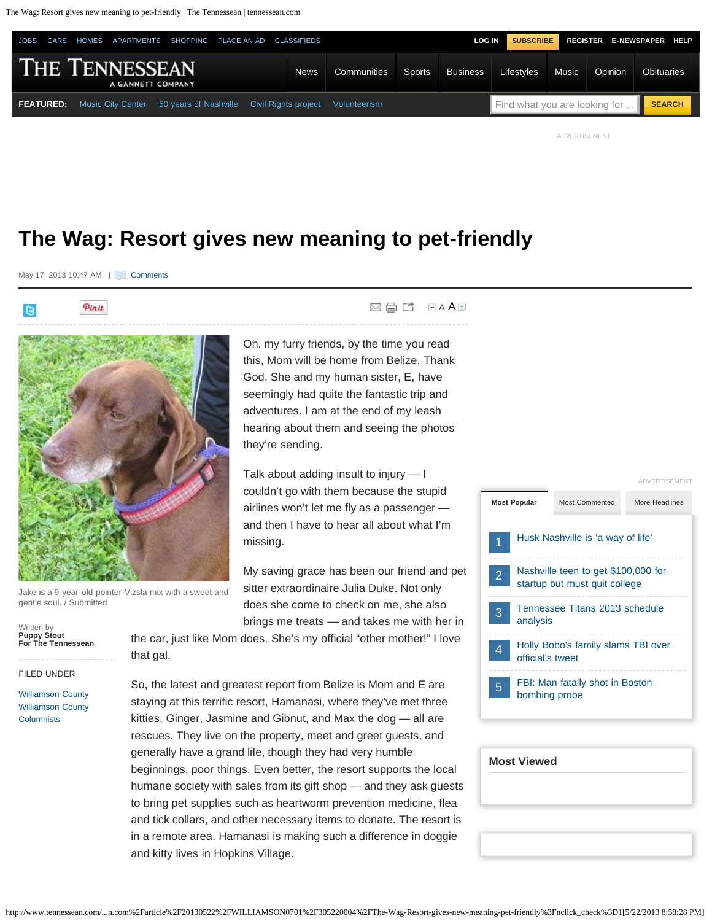The Wag: Resort gives new meaning to pet-friendly | The Tennessean | tennessean.com



**⊠ ● L** B[A](javascript:void(null);)AE

ADVERTISEMENT

# **The Wag: Resort gives new meaning to pet-friendly**

they're sending.

missing.

May 17, 2013 10:47 AM | L Gomments

Pinit  $\mathbb{R}$ 



Jake is a 9-year-old pointer-Vizsla mix with a sweet and gentle soul. / Submitted

sitter extraordinaire Julia Duke. Not only does she come to check on me, she also brings me treats — and takes me with her in

My saving grace has been our friend and pet

Oh, my furry friends, by the time you read this, Mom will be home from Belize. Thank God. She and my human sister, E, have seemingly had quite the fantastic trip and adventures. I am at the end of my leash hearing about them and seeing the photos

Talk about adding insult to injury — I couldn't go with them because the stupid airlines won't let me fly as a passenger and then I have to hear all about what I'm

the car, just like Mom does. She's my official "other mother!" I love that gal.

FILED UNDER

**Puppy Stout For The Tennessean**

Written by

[Williamson County](http://www.tennessean.com/section/WILLIAMSON) [Williamson County](http://www.tennessean.com/section/WILLIAMSON0701) **[Columnists](http://www.tennessean.com/section/WILLIAMSON0701)** 

So, the latest and greatest report from Belize is Mom and E are staying at this terrific resort, Hamanasi, where they've met three kitties, Ginger, Jasmine and Gibnut, and Max the dog — all are rescues. They live on the property, meet and greet guests, and generally have a grand life, though they had very humble beginnings, poor things. Even better, the resort supports the local

humane society with sales from its gift shop — and they ask guests to bring pet supplies such as heartworm prevention medicine, flea and tick collars, and other necessary items to donate. The resort is in a remote area. Hamanasi is making such a difference in doggie and kitty lives in Hopkins Village.

### **Most Popular** Most Commented More Headlines 1 2 3 4 5 [Husk Nashville is 'a way of life'](http://www.tennessean.com/article/20130522/LIFE02/305220003/Husk-Nashville-is-a-way-of-life-) [Nashville teen to get \\$100,000 for](http://www.tennessean.com/article/20130522/BUSINESS01/305220127/Nashville-teen-to-get-100-000-for-startup-but-must-quit-college) [startup but must quit college](http://www.tennessean.com/article/20130522/BUSINESS01/305220127/Nashville-teen-to-get-100-000-for-startup-but-must-quit-college) [Tennessee Titans 2013 schedule](http://www.tennessean.com/article/20130520/SPORTS01/130520011/Tennessee-Titans-2013-schedule-analysis) [analysis](http://www.tennessean.com/article/20130520/SPORTS01/130520011/Tennessee-Titans-2013-schedule-analysis) [Holly Bobo's family slams TBI over](http://www.tennessean.com/article/20130522/NEWS01/305220011/Holly-Bobo-s-family-slams-TBI-over-official-s-tweet) [official's tweet](http://www.tennessean.com/article/20130522/NEWS01/305220011/Holly-Bobo-s-family-slams-TBI-over-official-s-tweet) [FBI: Man fatally shot in Boston](http://www.tennessean.com/viewart/20130522/NEWS08/130522008/FBI-Man-fatally-shot-in-Boston-bombing-probe-) [bombing probe](http://www.tennessean.com/viewart/20130522/NEWS08/130522008/FBI-Man-fatally-shot-in-Boston-bombing-probe-) ADVERTISEMENT

| <b>Most Viewed</b> |  |  |
|--------------------|--|--|
|                    |  |  |
|                    |  |  |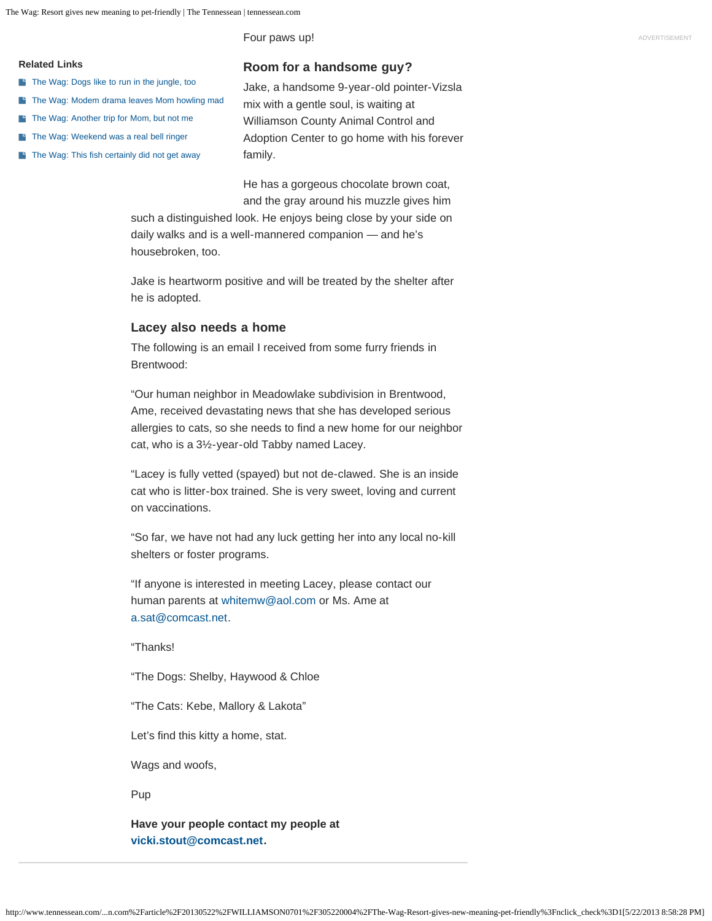Four paws up!

#### **Related Links**

- [The Wag: Dogs like to run in the jungle, too](http://www.tennessean.com/article/20130515/WILLIAMSON0701/305150005)
- **[The Wag: Modem drama leaves Mom howling mad](http://www.tennessean.com/article/20130508/WILLIAMSON0701/305080001)**
- [The Wag: Another trip for Mom, but not me](http://www.tennessean.com/article/20130501/WILLIAMSON0701/305010009)
- [The Wag: Weekend was a real bell ringer](http://www.tennessean.com/article/20130424/WILLIAMSON0701/304240006)
- [The Wag: This fish certainly did not get away](http://www.tennessean.com/article/20130417/WILLIAMSON0701/304170001)

### **Room for a handsome guy?**

Jake, a handsome 9-year-old pointer-Vizsla mix with a gentle soul, is waiting at Williamson County Animal Control and Adoption Center to go home with his forever family.

He has a gorgeous chocolate brown coat, and the gray around his muzzle gives him

such a distinguished look. He enjoys being close by your side on daily walks and is a well-mannered companion — and he's housebroken, too.

Jake is heartworm positive and will be treated by the shelter after he is adopted.

#### **Lacey also needs a home**

The following is an email I received from some furry friends in Brentwood:

"Our human neighbor in Meadowlake subdivision in Brentwood, Ame, received devastating news that she has developed serious allergies to cats, so she needs to find a new home for our neighbor cat, who is a 3½-year-old Tabby named Lacey.

"Lacey is fully vetted (spayed) but not de-clawed. She is an inside cat who is litter-box trained. She is very sweet, loving and current on vaccinations.

"So far, we have not had any luck getting her into any local no-kill shelters or foster programs.

"If anyone is interested in meeting Lacey, please contact our human parents at [whitemw@aol.com](mailto:whitemw@aol.com) or Ms. Ame at [a.sat@comcast.net.](mailto:a.sat@comcast.net)

"Thanks!

"The Dogs: Shelby, Haywood & Chloe

"The Cats: Kebe, Mallory & Lakota"

Let's find this kitty a home, stat.

Wags and woofs,

Pup

**Have your people contact my people at [vicki.stout@comcast.net.](mailto:vicki.stout@comcast.net)**

http://www.tennessean.com/...n.com%2Farticle%2F20130522%2FWILLIAMSON0701%2F305220004%2FThe-Wag-Resort-gives-new-meaning-pet-friendly%3Fnclick\_check%3D1[5/22/2013 8:58:28 PM]